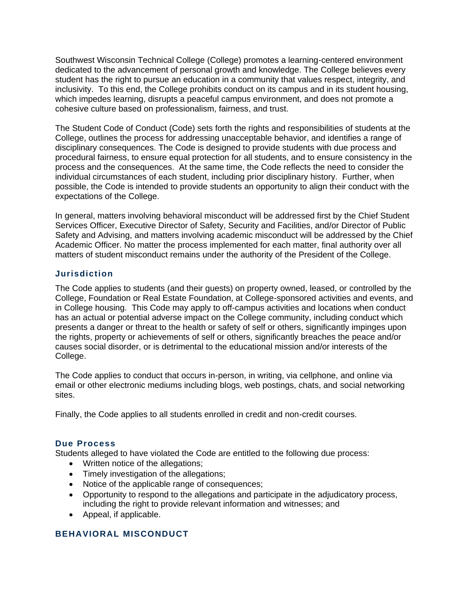Southwest Wisconsin Technical College (College) promotes a learning-centered environment dedicated to the advancement of personal growth and knowledge. The College believes every student has the right to pursue an education in a community that values respect, integrity, and inclusivity. To this end, the College prohibits conduct on its campus and in its student housing, which impedes learning, disrupts a peaceful campus environment, and does not promote a cohesive culture based on professionalism, fairness, and trust.

The Student Code of Conduct (Code) sets forth the rights and responsibilities of students at the College, outlines the process for addressing unacceptable behavior, and identifies a range of disciplinary consequences. The Code is designed to provide students with due process and procedural fairness, to ensure equal protection for all students, and to ensure consistency in the process and the consequences. At the same time, the Code reflects the need to consider the individual circumstances of each student, including prior disciplinary history. Further, when possible, the Code is intended to provide students an opportunity to align their conduct with the expectations of the College.

In general, matters involving behavioral misconduct will be addressed first by the Chief Student Services Officer, Executive Director of Safety, Security and Facilities, and/or Director of Public Safety and Advising, and matters involving academic misconduct will be addressed by the Chief Academic Officer. No matter the process implemented for each matter, final authority over all matters of student misconduct remains under the authority of the President of the College.

# **Jurisdiction**

The Code applies to students (and their guests) on property owned, leased, or controlled by the College, Foundation or Real Estate Foundation, at College-sponsored activities and events, and in College housing. This Code may apply to off-campus activities and locations when conduct has an actual or potential adverse impact on the College community, including conduct which presents a danger or threat to the health or safety of self or others, significantly impinges upon the rights, property or achievements of self or others, significantly breaches the peace and/or causes social disorder, or is detrimental to the educational mission and/or interests of the College.

The Code applies to conduct that occurs in-person, in writing, via cellphone, and online via email or other electronic mediums including blogs, web postings, chats, and social networking sites.

Finally, the Code applies to all students enrolled in credit and non-credit courses.

#### **Due Process**

Students alleged to have violated the Code are entitled to the following due process:

- Written notice of the allegations;
- Timely investigation of the allegations;
- Notice of the applicable range of consequences;
- Opportunity to respond to the allegations and participate in the adjudicatory process, including the right to provide relevant information and witnesses; and
- Appeal, if applicable.

# **BEHAVIORAL MISCONDUCT**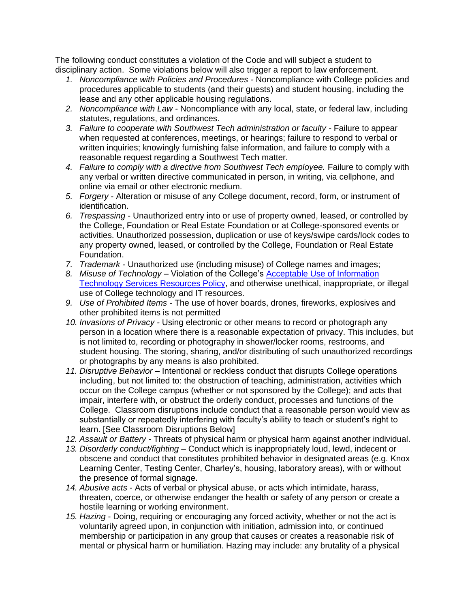The following conduct constitutes a violation of the Code and will subject a student to disciplinary action. Some violations below will also trigger a report to law enforcement.

- *1. Noncompliance with Policies and Procedures -* Noncompliance with College policies and procedures applicable to students (and their guests) and student housing, including the lease and any other applicable housing regulations.
- *2. Noncompliance with Law -* Noncompliance with any local, state, or federal law, including statutes, regulations, and ordinances.
- *3. Failure to cooperate with Southwest Tech administration or faculty -* Failure to appear when requested at conferences, meetings, or hearings; failure to respond to verbal or written inquiries; knowingly furnishing false information, and failure to comply with a reasonable request regarding a Southwest Tech matter.
- 4. Failure to comply with a directive from Southwest Tech employee. Failure to comply with any verbal or written directive communicated in person, in writing, via cellphone, and online via email or other electronic medium.
- *5. Forgery* Alteration or misuse of any College document, record, form, or instrument of identification.
- *6. Trespassing* Unauthorized entry into or use of property owned, leased, or controlled by the College, Foundation or Real Estate Foundation or at College-sponsored events or activities. Unauthorized possession, duplication or use of keys/swipe cards/lock codes to any property owned, leased, or controlled by the College, Foundation or Real Estate Foundation.
- *7. Trademark* Unauthorized use (including misuse) of College names and images;
- *8. Misuse of Technology*  Violation of the College's [Acceptable Use of Information](https://www.swtc.edu/uploadedpdfs/about/policies/Acceptable-Use-of-Information-Technology-Resources.pdf)  [Technology Services Resources Policy,](https://www.swtc.edu/uploadedpdfs/about/policies/Acceptable-Use-of-Information-Technology-Resources.pdf) and otherwise unethical, inappropriate, or illegal use of College technology and IT resources.
- *9. Use of Prohibited Items -* The use of hover boards, drones, fireworks, explosives and other prohibited items is not permitted
- *10. Invasions of Privacy -* Using electronic or other means to record or photograph any person in a location where there is a reasonable expectation of privacy. This includes, but is not limited to, recording or photography in shower/locker rooms, restrooms, and student housing. The storing, sharing, and/or distributing of such unauthorized recordings or photographs by any means is also prohibited.
- *11. Disruptive Behavior* Intentional or reckless conduct that disrupts College operations including, but not limited to: the obstruction of teaching, administration, activities which occur on the College campus (whether or not sponsored by the College); and acts that impair, interfere with, or obstruct the orderly conduct, processes and functions of the College. Classroom disruptions include conduct that a reasonable person would view as substantially or repeatedly interfering with faculty's ability to teach or student's right to learn. [See Classroom Disruptions Below]
- *12. Assault or Battery -* Threats of physical harm or physical harm against another individual.
- *13. Disorderly conduct/fighting* Conduct which is inappropriately loud, lewd, indecent or obscene and conduct that constitutes prohibited behavior in designated areas (e.g. Knox Learning Center, Testing Center, Charley's, housing, laboratory areas), with or without the presence of formal signage.
- *14. Abusive acts* Acts of verbal or physical abuse, or acts which intimidate, harass, threaten, coerce, or otherwise endanger the health or safety of any person or create a hostile learning or working environment.
- *15. Hazing* Doing, requiring or encouraging any forced activity, whether or not the act is voluntarily agreed upon, in conjunction with initiation, admission into, or continued membership or participation in any group that causes or creates a reasonable risk of mental or physical harm or humiliation. Hazing may include: any brutality of a physical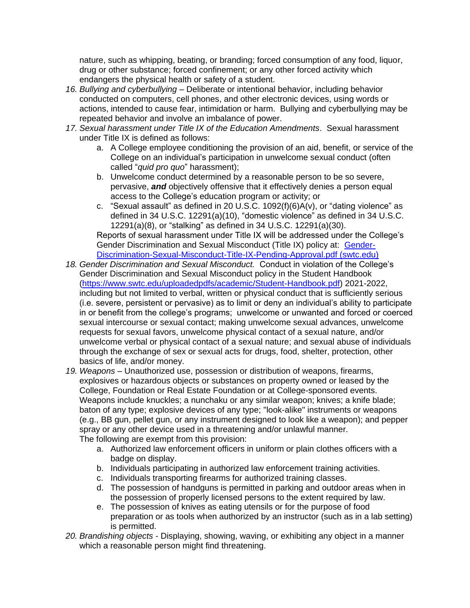nature, such as whipping, beating, or branding; forced consumption of any food, liquor, drug or other substance; forced confinement; or any other forced activity which endangers the physical health or safety of a student.

- *16. Bullying and cyberbullying* Deliberate or intentional behavior, including behavior conducted on computers, cell phones, and other electronic devices, using words or actions, intended to cause fear, intimidation or harm. Bullying and cyberbullying may be repeated behavior and involve an imbalance of power.
- *17. Sexual harassment under Title IX of the Education Amendments*. Sexual harassment under Title IX is defined as follows:
	- a. A College employee conditioning the provision of an aid, benefit, or service of the College on an individual's participation in unwelcome sexual conduct (often called "*quid pro quo*" harassment);
	- b. Unwelcome conduct determined by a reasonable person to be so severe, pervasive, *and* objectively offensive that it effectively denies a person equal access to the College's education program or activity; or
	- c. "Sexual assault" as defined in 20 U.S.C.  $1092(f)(6)A(v)$ , or "dating violence" as defined in 34 U.S.C. 12291(a)(10), "domestic violence" as defined in 34 U.S.C. 12291(a)(8), or "stalking" as defined in 34 U.S.C. 12291(a)(30). Reports of sexual harassment under Title IX will be addressed under the College's Gender Discrimination and Sexual Misconduct (Title IX) policy at: [Gender-](https://www.swtc.edu/uploadedpdfs/about/policies/Gender-Discrimination-Sexual-Misconduct-Title-IX-Pending-Approval.pdf)

[Discrimination-Sexual-Misconduct-Title-IX-Pending-Approval.pdf \(swtc.edu\)](https://www.swtc.edu/uploadedpdfs/about/policies/Gender-Discrimination-Sexual-Misconduct-Title-IX-Pending-Approval.pdf)

- *18. Gender Discrimination and Sexual Misconduct.* Conduct in violation of the College's Gender Discrimination and Sexual Misconduct policy in the Student Handbook [\(https://www.swtc.edu/uploadedpdfs/academic/Student-Handbook.pdf\)](https://www.swtc.edu/uploadedpdfs/academic/Student-Handbook.pdf) 2021-2022, including but not limited to verbal, written or physical conduct that is sufficiently serious (i.e. severe, persistent or pervasive) as to limit or deny an individual's ability to participate in or benefit from the college's programs; unwelcome or unwanted and forced or coerced sexual intercourse or sexual contact; making unwelcome sexual advances, unwelcome requests for sexual favors, unwelcome physical contact of a sexual nature, and/or unwelcome verbal or physical contact of a sexual nature; and sexual abuse of individuals through the exchange of sex or sexual acts for drugs, food, shelter, protection, other basics of life, and/or money.
- *19. Weapons –* Unauthorized use, possession or distribution of weapons, firearms, explosives or hazardous objects or substances on property owned or leased by the College, Foundation or Real Estate Foundation or at College-sponsored events. Weapons include knuckles; a nunchaku or any similar weapon; knives; a knife blade; baton of any type; explosive devices of any type; "look-alike" instruments or weapons (e.g., BB gun, pellet gun, or any instrument designed to look like a weapon); and pepper spray or any other device used in a threatening and/or unlawful manner. The following are exempt from this provision:
	- a. Authorized law enforcement officers in uniform or plain clothes officers with a badge on display.
	- b. Individuals participating in authorized law enforcement training activities.
	- c. Individuals transporting firearms for authorized training classes.
	- d. The possession of handguns is permitted in parking and outdoor areas when in the possession of properly licensed persons to the extent required by law.
	- e. The possession of knives as eating utensils or for the purpose of food preparation or as tools when authorized by an instructor (such as in a lab setting) is permitted.
- *20. Brandishing objects* Displaying, showing, waving, or exhibiting any object in a manner which a reasonable person might find threatening.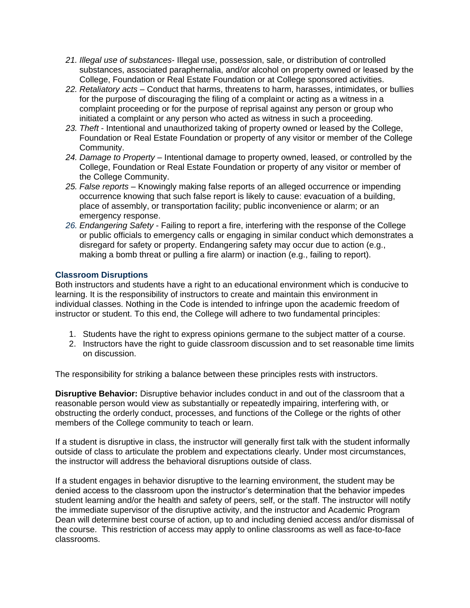- *21. Illegal use of substances* Illegal use, possession, sale, or distribution of controlled substances, associated paraphernalia, and/or alcohol on property owned or leased by the College, Foundation or Real Estate Foundation or at College sponsored activities.
- *22. Retaliatory acts* Conduct that harms, threatens to harm, harasses, intimidates, or bullies for the purpose of discouraging the filing of a complaint or acting as a witness in a complaint proceeding or for the purpose of reprisal against any person or group who initiated a complaint or any person who acted as witness in such a proceeding.
- *23. Theft* Intentional and unauthorized taking of property owned or leased by the College, Foundation or Real Estate Foundation or property of any visitor or member of the College Community.
- *24. Damage to Property* Intentional damage to property owned, leased, or controlled by the College, Foundation or Real Estate Foundation or property of any visitor or member of the College Community.
- *25. False reports* Knowingly making false reports of an alleged occurrence or impending occurrence knowing that such false report is likely to cause: evacuation of a building, place of assembly, or transportation facility; public inconvenience or alarm; or an emergency response.
- *26. Endangering Safety* Failing to report a fire, interfering with the response of the College or public officials to emergency calls or engaging in similar conduct which demonstrates a disregard for safety or property. Endangering safety may occur due to action (e.g., making a bomb threat or pulling a fire alarm) or inaction (e.g., failing to report).

### **Classroom Disruptions**

Both instructors and students have a right to an educational environment which is conducive to learning. It is the responsibility of instructors to create and maintain this environment in individual classes. Nothing in the Code is intended to infringe upon the academic freedom of instructor or student. To this end, the College will adhere to two fundamental principles:

- 1. Students have the right to express opinions germane to the subject matter of a course.
- 2. Instructors have the right to guide classroom discussion and to set reasonable time limits on discussion.

The responsibility for striking a balance between these principles rests with instructors.

**Disruptive Behavior:** Disruptive behavior includes conduct in and out of the classroom that a reasonable person would view as substantially or repeatedly impairing, interfering with, or obstructing the orderly conduct, processes, and functions of the College or the rights of other members of the College community to teach or learn.

If a student is disruptive in class, the instructor will generally first talk with the student informally outside of class to articulate the problem and expectations clearly. Under most circumstances, the instructor will address the behavioral disruptions outside of class.

If a student engages in behavior disruptive to the learning environment, the student may be denied access to the classroom upon the instructor's determination that the behavior impedes student learning and/or the health and safety of peers, self, or the staff. The instructor will notify the immediate supervisor of the disruptive activity, and the instructor and Academic Program Dean will determine best course of action, up to and including denied access and/or dismissal of the course. This restriction of access may apply to online classrooms as well as face-to-face classrooms.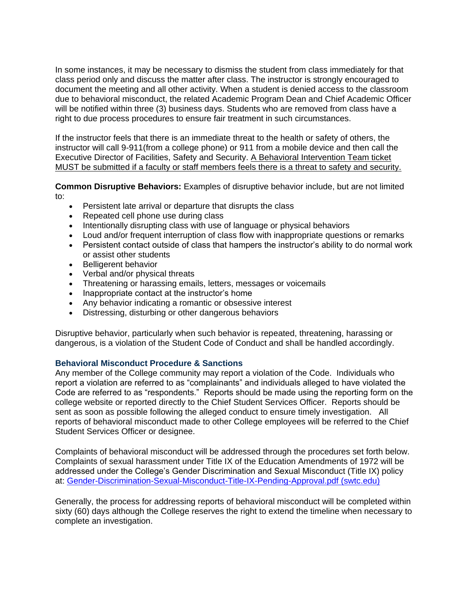In some instances, it may be necessary to dismiss the student from class immediately for that class period only and discuss the matter after class. The instructor is strongly encouraged to document the meeting and all other activity. When a student is denied access to the classroom due to behavioral misconduct, the related Academic Program Dean and Chief Academic Officer will be notified within three (3) business days. Students who are removed from class have a right to due process procedures to ensure fair treatment in such circumstances.

If the instructor feels that there is an immediate threat to the health or safety of others, the instructor will call 9-911(from a college phone) or 911 from a mobile device and then call the Executive Director of Facilities, Safety and Security. A Behavioral Intervention Team ticket MUST be submitted if a faculty or staff members feels there is a threat to safety and security.

**Common Disruptive Behaviors:** Examples of disruptive behavior include, but are not limited to:

- Persistent late arrival or departure that disrupts the class
- Repeated cell phone use during class
- Intentionally disrupting class with use of language or physical behaviors
- Loud and/or frequent interruption of class flow with inappropriate questions or remarks
- Persistent contact outside of class that hampers the instructor's ability to do normal work or assist other students
- Belligerent behavior
- Verbal and/or physical threats
- Threatening or harassing emails, letters, messages or voicemails
- Inappropriate contact at the instructor's home
- Any behavior indicating a romantic or obsessive interest
- Distressing, disturbing or other dangerous behaviors

Disruptive behavior, particularly when such behavior is repeated, threatening, harassing or dangerous, is a violation of the Student Code of Conduct and shall be handled accordingly.

#### **Behavioral Misconduct Procedure & Sanctions**

Any member of the College community may report a violation of the Code. Individuals who report a violation are referred to as "complainants" and individuals alleged to have violated the Code are referred to as "respondents." Reports should be made using the reporting form on the college website or reported directly to the Chief Student Services Officer. Reports should be sent as soon as possible following the alleged conduct to ensure timely investigation. All reports of behavioral misconduct made to other College employees will be referred to the Chief Student Services Officer or designee.

Complaints of behavioral misconduct will be addressed through the procedures set forth below. Complaints of sexual harassment under Title IX of the Education Amendments of 1972 will be addressed under the College's Gender Discrimination and Sexual Misconduct (Title IX) policy at: [Gender-Discrimination-Sexual-Misconduct-Title-IX-Pending-Approval.pdf \(swtc.edu\)](https://www.swtc.edu/uploadedpdfs/about/policies/Gender-Discrimination-Sexual-Misconduct-Title-IX-Pending-Approval.pdf)

Generally, the process for addressing reports of behavioral misconduct will be completed within sixty (60) days although the College reserves the right to extend the timeline when necessary to complete an investigation.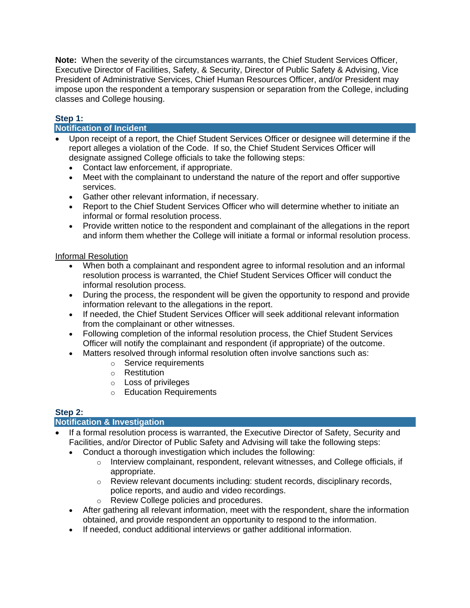**Note:** When the severity of the circumstances warrants, the Chief Student Services Officer, Executive Director of Facilities, Safety, & Security, Director of Public Safety & Advising, Vice President of Administrative Services, Chief Human Resources Officer, and/or President may impose upon the respondent a temporary suspension or separation from the College, including classes and College housing.

# **Step 1:**

# **Notification of Incident**

- Upon receipt of a report, the Chief Student Services Officer or designee will determine if the report alleges a violation of the Code. If so, the Chief Student Services Officer will designate assigned College officials to take the following steps:
	- Contact law enforcement, if appropriate.
	- Meet with the complainant to understand the nature of the report and offer supportive services.
	- Gather other relevant information, if necessary.
	- Report to the Chief Student Services Officer who will determine whether to initiate an informal or formal resolution process.
	- Provide written notice to the respondent and complainant of the allegations in the report and inform them whether the College will initiate a formal or informal resolution process.

### Informal Resolution

- When both a complainant and respondent agree to informal resolution and an informal resolution process is warranted, the Chief Student Services Officer will conduct the informal resolution process.
- During the process, the respondent will be given the opportunity to respond and provide information relevant to the allegations in the report.
- If needed, the Chief Student Services Officer will seek additional relevant information from the complainant or other witnesses.
- Following completion of the informal resolution process, the Chief Student Services Officer will notify the complainant and respondent (if appropriate) of the outcome.
- Matters resolved through informal resolution often involve sanctions such as:
	- o Service requirements
		- o Restitution
	- o Loss of privileges
	- o Education Requirements

### **Step 2:**

### **Notification & Investigation**

- If a formal resolution process is warranted, the Executive Director of Safety, Security and Facilities, and/or Director of Public Safety and Advising will take the following steps:
	- Conduct a thorough investigation which includes the following:
		- $\circ$  Interview complainant, respondent, relevant witnesses, and College officials, if appropriate.
		- o Review relevant documents including: student records, disciplinary records, police reports, and audio and video recordings.
		- o Review College policies and procedures.
	- After gathering all relevant information, meet with the respondent, share the information obtained, and provide respondent an opportunity to respond to the information.
	- If needed, conduct additional interviews or gather additional information.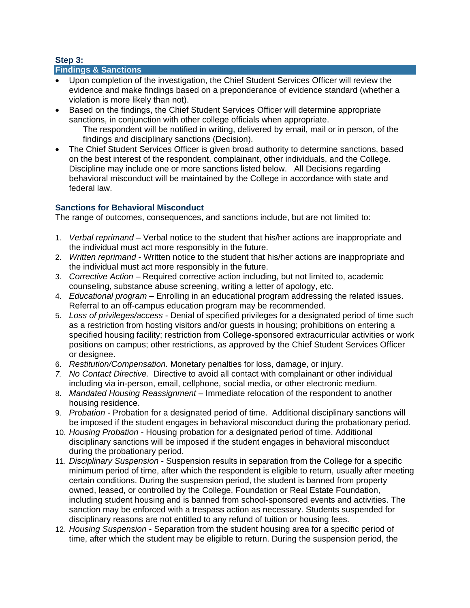# **Step 3:**

### **Findings & Sanctions**

- Upon completion of the investigation, the Chief Student Services Officer will review the evidence and make findings based on a preponderance of evidence standard (whether a violation is more likely than not).
- Based on the findings, the Chief Student Services Officer will determine appropriate sanctions, in conjunction with other college officials when appropriate. The respondent will be notified in writing, delivered by email, mail or in person, of the findings and disciplinary sanctions (Decision).
- The Chief Student Services Officer is given broad authority to determine sanctions, based on the best interest of the respondent, complainant, other individuals, and the College. Discipline may include one or more sanctions listed below. All Decisions regarding behavioral misconduct will be maintained by the College in accordance with state and federal law.

# **Sanctions for Behavioral Misconduct**

The range of outcomes, consequences, and sanctions include, but are not limited to:

- 1. *Verbal reprimand* Verbal notice to the student that his/her actions are inappropriate and the individual must act more responsibly in the future.
- 2. *Written reprimand* Written notice to the student that his/her actions are inappropriate and the individual must act more responsibly in the future.
- 3. *Corrective Action* Required corrective action including, but not limited to, academic counseling, substance abuse screening, writing a letter of apology, etc.
- 4. *Educational program* Enrolling in an educational program addressing the related issues. Referral to an off-campus education program may be recommended.
- 5. *Loss of privileges/access* Denial of specified privileges for a designated period of time such as a restriction from hosting visitors and/or guests in housing; prohibitions on entering a specified housing facility; restriction from College-sponsored extracurricular activities or work positions on campus; other restrictions, as approved by the Chief Student Services Officer or designee.
- 6. *Restitution/Compensation.* Monetary penalties for loss, damage, or injury.
- *7. No Contact Directive.* Directive to avoid all contact with complainant or other individual including via in-person, email, cellphone, social media, or other electronic medium.
- 8. *Mandated Housing Reassignment* Immediate relocation of the respondent to another housing residence.
- 9. *Probation* Probation for a designated period of time. Additional disciplinary sanctions will be imposed if the student engages in behavioral misconduct during the probationary period.
- 10. *Housing Probation* Housing probation for a designated period of time. Additional disciplinary sanctions will be imposed if the student engages in behavioral misconduct during the probationary period.
- 11. *Disciplinary Suspension* Suspension results in separation from the College for a specific minimum period of time, after which the respondent is eligible to return, usually after meeting certain conditions. During the suspension period, the student is banned from property owned, leased, or controlled by the College, Foundation or Real Estate Foundation, including student housing and is banned from school-sponsored events and activities. The sanction may be enforced with a trespass action as necessary. Students suspended for disciplinary reasons are not entitled to any refund of tuition or housing fees.
- 12. *Housing Suspension* Separation from the student housing area for a specific period of time, after which the student may be eligible to return. During the suspension period, the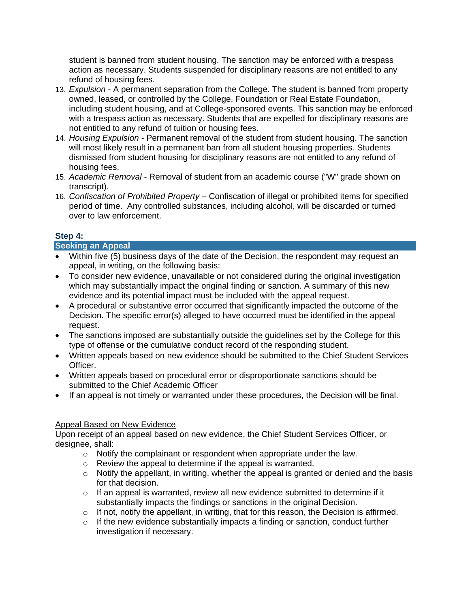student is banned from student housing. The sanction may be enforced with a trespass action as necessary. Students suspended for disciplinary reasons are not entitled to any refund of housing fees.

- 13. *Expulsion* A permanent separation from the College. The student is banned from property owned, leased, or controlled by the College, Foundation or Real Estate Foundation, including student housing, and at College-sponsored events. This sanction may be enforced with a trespass action as necessary. Students that are expelled for disciplinary reasons are not entitled to any refund of tuition or housing fees.
- 14. *Housing Expulsion* Permanent removal of the student from student housing. The sanction will most likely result in a permanent ban from all student housing properties. Students dismissed from student housing for disciplinary reasons are not entitled to any refund of housing fees.
- 15. *Academic Removal* Removal of student from an academic course ("W" grade shown on transcript).
- 16. *Confiscation of Prohibited Property* Confiscation of illegal or prohibited items for specified period of time. Any controlled substances, including alcohol, will be discarded or turned over to law enforcement.

# **Step 4:**

### **Seeking an Appeal**

- Within five (5) business days of the date of the Decision, the respondent may request an appeal, in writing, on the following basis:
- To consider new evidence, unavailable or not considered during the original investigation which may substantially impact the original finding or sanction. A summary of this new evidence and its potential impact must be included with the appeal request.
- A procedural or substantive error occurred that significantly impacted the outcome of the Decision. The specific error(s) alleged to have occurred must be identified in the appeal request.
- The sanctions imposed are substantially outside the guidelines set by the College for this type of offense or the cumulative conduct record of the responding student.
- Written appeals based on new evidence should be submitted to the Chief Student Services Officer.
- Written appeals based on procedural error or disproportionate sanctions should be submitted to the Chief Academic Officer
- If an appeal is not timely or warranted under these procedures, the Decision will be final.

### Appeal Based on New Evidence

Upon receipt of an appeal based on new evidence, the Chief Student Services Officer, or designee, shall:

- o Notify the complainant or respondent when appropriate under the law.
- o Review the appeal to determine if the appeal is warranted.
- o Notify the appellant, in writing, whether the appeal is granted or denied and the basis for that decision.
- o If an appeal is warranted, review all new evidence submitted to determine if it substantially impacts the findings or sanctions in the original Decision.
- $\circ$  If not, notify the appellant, in writing, that for this reason, the Decision is affirmed.
- $\circ$  If the new evidence substantially impacts a finding or sanction, conduct further investigation if necessary.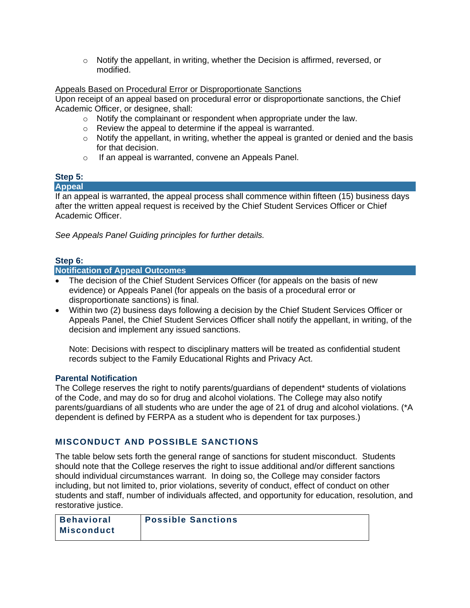$\circ$  Notify the appellant, in writing, whether the Decision is affirmed, reversed, or modified.

#### Appeals Based on Procedural Error or Disproportionate Sanctions

Upon receipt of an appeal based on procedural error or disproportionate sanctions, the Chief Academic Officer, or designee, shall:

- o Notify the complainant or respondent when appropriate under the law.
- o Review the appeal to determine if the appeal is warranted.
- $\circ$  Notify the appellant, in writing, whether the appeal is granted or denied and the basis for that decision.
- o If an appeal is warranted, convene an Appeals Panel.

# **Step 5:**

#### **Appeal**

If an appeal is warranted, the appeal process shall commence within fifteen (15) business days after the written appeal request is received by the Chief Student Services Officer or Chief Academic Officer.

*See Appeals Panel Guiding principles for further details.*

### **Step 6:**

#### **Notification of Appeal Outcomes**

- The decision of the Chief Student Services Officer (for appeals on the basis of new evidence) or Appeals Panel (for appeals on the basis of a procedural error or disproportionate sanctions) is final.
- Within two (2) business days following a decision by the Chief Student Services Officer or Appeals Panel, the Chief Student Services Officer shall notify the appellant, in writing, of the decision and implement any issued sanctions.

Note: Decisions with respect to disciplinary matters will be treated as confidential student records subject to the Family Educational Rights and Privacy Act.

#### **Parental Notification**

The College reserves the right to notify parents/guardians of dependent\* students of violations of the Code, and may do so for drug and alcohol violations. The College may also notify parents/guardians of all students who are under the age of 21 of drug and alcohol violations. (\*A dependent is defined by FERPA as a student who is dependent for tax purposes.)

# **MISCONDUCT AND POSSIBLE SANCTIONS**

The table below sets forth the general range of sanctions for student misconduct. Students should note that the College reserves the right to issue additional and/or different sanctions should individual circumstances warrant. In doing so, the College may consider factors including, but not limited to, prior violations, severity of conduct, effect of conduct on other students and staff, number of individuals affected, and opportunity for education, resolution, and restorative justice.

| Behavioral        | <b>Possible Sanctions</b> |
|-------------------|---------------------------|
| <b>Misconduct</b> |                           |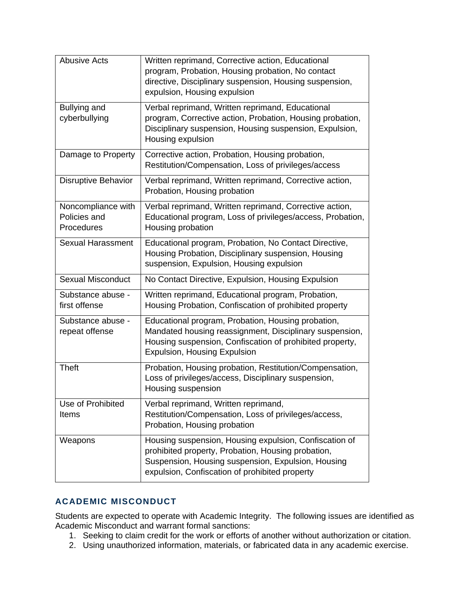| <b>Abusive Acts</b>                              | Written reprimand, Corrective action, Educational<br>program, Probation, Housing probation, No contact<br>directive, Disciplinary suspension, Housing suspension,<br>expulsion, Housing expulsion                    |
|--------------------------------------------------|----------------------------------------------------------------------------------------------------------------------------------------------------------------------------------------------------------------------|
| Bullying and<br>cyberbullying                    | Verbal reprimand, Written reprimand, Educational<br>program, Corrective action, Probation, Housing probation,<br>Disciplinary suspension, Housing suspension, Expulsion,<br>Housing expulsion                        |
| Damage to Property                               | Corrective action, Probation, Housing probation,<br>Restitution/Compensation, Loss of privileges/access                                                                                                              |
| <b>Disruptive Behavior</b>                       | Verbal reprimand, Written reprimand, Corrective action,<br>Probation, Housing probation                                                                                                                              |
| Noncompliance with<br>Policies and<br>Procedures | Verbal reprimand, Written reprimand, Corrective action,<br>Educational program, Loss of privileges/access, Probation,<br>Housing probation                                                                           |
| <b>Sexual Harassment</b>                         | Educational program, Probation, No Contact Directive,<br>Housing Probation, Disciplinary suspension, Housing<br>suspension, Expulsion, Housing expulsion                                                             |
| <b>Sexual Misconduct</b>                         | No Contact Directive, Expulsion, Housing Expulsion                                                                                                                                                                   |
| Substance abuse -<br>first offense               | Written reprimand, Educational program, Probation,<br>Housing Probation, Confiscation of prohibited property                                                                                                         |
| Substance abuse -<br>repeat offense              | Educational program, Probation, Housing probation,<br>Mandated housing reassignment, Disciplinary suspension,<br>Housing suspension, Confiscation of prohibited property,<br><b>Expulsion, Housing Expulsion</b>     |
| <b>Theft</b>                                     | Probation, Housing probation, Restitution/Compensation,<br>Loss of privileges/access, Disciplinary suspension,<br>Housing suspension                                                                                 |
| Use of Prohibited<br>Items                       | Verbal reprimand, Written reprimand,<br>Restitution/Compensation, Loss of privileges/access,<br>Probation, Housing probation                                                                                         |
| Weapons                                          | Housing suspension, Housing expulsion, Confiscation of<br>prohibited property, Probation, Housing probation,<br>Suspension, Housing suspension, Expulsion, Housing<br>expulsion, Confiscation of prohibited property |

# **ACADEMIC MISCONDUCT**

Students are expected to operate with Academic Integrity. The following issues are identified as Academic Misconduct and warrant formal sanctions:

- 1. Seeking to claim credit for the work or efforts of another without authorization or citation.
- 2. Using unauthorized information, materials, or fabricated data in any academic exercise.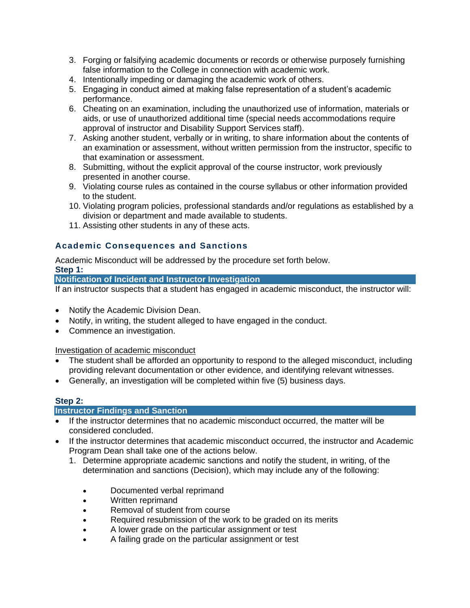- 3. Forging or falsifying academic documents or records or otherwise purposely furnishing false information to the College in connection with academic work.
- 4. Intentionally impeding or damaging the academic work of others.
- 5. Engaging in conduct aimed at making false representation of a student's academic performance.
- 6. Cheating on an examination, including the unauthorized use of information, materials or aids, or use of unauthorized additional time (special needs accommodations require approval of instructor and Disability Support Services staff).
- 7. Asking another student, verbally or in writing, to share information about the contents of an examination or assessment, without written permission from the instructor, specific to that examination or assessment.
- 8. Submitting, without the explicit approval of the course instructor, work previously presented in another course.
- 9. Violating course rules as contained in the course syllabus or other information provided to the student.
- 10. Violating program policies, professional standards and/or regulations as established by a division or department and made available to students.
- 11. Assisting other students in any of these acts.

# **Academic Consequences and Sanctions**

Academic Misconduct will be addressed by the procedure set forth below.

**Step 1:**

**Notification of Incident and Instructor Investigation**

If an instructor suspects that a student has engaged in academic misconduct, the instructor will:

- Notify the Academic Division Dean.
- Notify, in writing, the student alleged to have engaged in the conduct.
- Commence an investigation.

Investigation of academic misconduct

- The student shall be afforded an opportunity to respond to the alleged misconduct, including providing relevant documentation or other evidence, and identifying relevant witnesses.
- Generally, an investigation will be completed within five (5) business days.

### **Step 2:**

### **Instructor Findings and Sanction**

- If the instructor determines that no academic misconduct occurred, the matter will be considered concluded.
- If the instructor determines that academic misconduct occurred, the instructor and Academic Program Dean shall take one of the actions below.
	- 1. Determine appropriate academic sanctions and notify the student, in writing, of the determination and sanctions (Decision), which may include any of the following:
		- Documented verbal reprimand
		- Written reprimand
		- Removal of student from course
		- Required resubmission of the work to be graded on its merits
		- A lower grade on the particular assignment or test
		- A failing grade on the particular assignment or test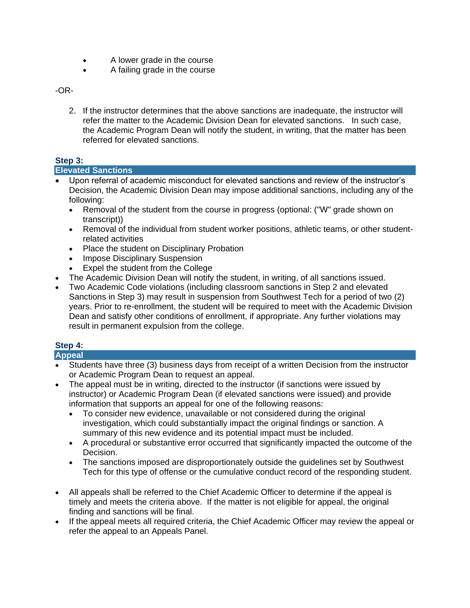- A lower grade in the course
- A failing grade in the course

-OR-

2. If the instructor determines that the above sanctions are inadequate, the instructor will refer the matter to the Academic Division Dean for elevated sanctions. In such case, the Academic Program Dean will notify the student, in writing, that the matter has been referred for elevated sanctions.

# **Step 3:**

### **Elevated Sanctions**

- Upon referral of academic misconduct for elevated sanctions and review of the instructor's Decision, the Academic Division Dean may impose additional sanctions, including any of the following:
	- Removal of the student from the course in progress (optional: ("W" grade shown on transcript))
	- Removal of the individual from student worker positions, athletic teams, or other studentrelated activities
	- Place the student on Disciplinary Probation
	- Impose Disciplinary Suspension
	- Expel the student from the College
- The Academic Division Dean will notify the student, in writing, of all sanctions issued.
- Two Academic Code violations (including classroom sanctions in Step 2 and elevated Sanctions in Step 3) may result in suspension from Southwest Tech for a period of two (2) years. Prior to re-enrollment, the student will be required to meet with the Academic Division Dean and satisfy other conditions of enrollment, if appropriate. Any further violations may result in permanent expulsion from the college.

# **Step 4:**

### **Appeal**

- Students have three (3) business days from receipt of a written Decision from the instructor or Academic Program Dean to request an appeal.
- The appeal must be in writing, directed to the instructor (if sanctions were issued by instructor) or Academic Program Dean (if elevated sanctions were issued) and provide information that supports an appeal for one of the following reasons:
	- To consider new evidence, unavailable or not considered during the original investigation, which could substantially impact the original findings or sanction. A summary of this new evidence and its potential impact must be included.
	- A procedural or substantive error occurred that significantly impacted the outcome of the Decision.
	- The sanctions imposed are disproportionately outside the guidelines set by Southwest Tech for this type of offense or the cumulative conduct record of the responding student.
- All appeals shall be referred to the Chief Academic Officer to determine if the appeal is timely and meets the criteria above. If the matter is not eligible for appeal, the original finding and sanctions will be final.
- If the appeal meets all required criteria, the Chief Academic Officer may review the appeal or refer the appeal to an Appeals Panel.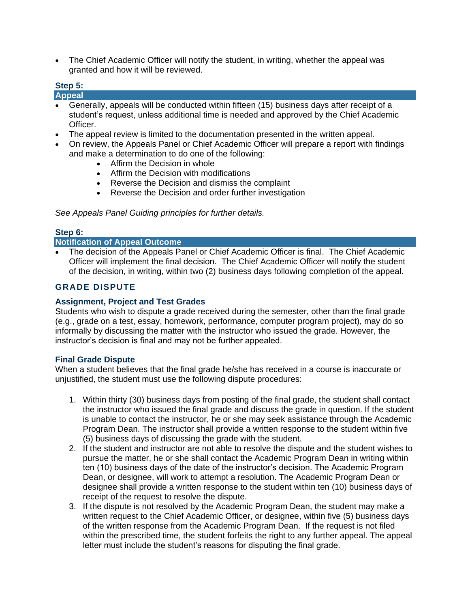• The Chief Academic Officer will notify the student, in writing, whether the appeal was granted and how it will be reviewed.

# **Step 5:**

**Appeal** 

- Generally, appeals will be conducted within fifteen (15) business days after receipt of a student's request, unless additional time is needed and approved by the Chief Academic Officer.
- The appeal review is limited to the documentation presented in the written appeal.
- On review, the Appeals Panel or Chief Academic Officer will prepare a report with findings and make a determination to do one of the following:
	- Affirm the Decision in whole
	- Affirm the Decision with modifications
	- Reverse the Decision and dismiss the complaint
	- Reverse the Decision and order further investigation

*See Appeals Panel Guiding principles for further details.*

#### **Step 6:**

#### **Notification of Appeal Outcome**

• The decision of the Appeals Panel or Chief Academic Officer is final. The Chief Academic Officer will implement the final decision. The Chief Academic Officer will notify the student of the decision, in writing, within two (2) business days following completion of the appeal.

# **GRADE DISPUTE**

#### **Assignment, Project and Test Grades**

Students who wish to dispute a grade received during the semester, other than the final grade (e.g., grade on a test, essay, homework, performance, computer program project), may do so informally by discussing the matter with the instructor who issued the grade. However, the instructor's decision is final and may not be further appealed.

#### **Final Grade Dispute**

When a student believes that the final grade he/she has received in a course is inaccurate or unjustified, the student must use the following dispute procedures:

- 1. Within thirty (30) business days from posting of the final grade, the student shall contact the instructor who issued the final grade and discuss the grade in question. If the student is unable to contact the instructor, he or she may seek assistance through the Academic Program Dean. The instructor shall provide a written response to the student within five (5) business days of discussing the grade with the student.
- 2. If the student and instructor are not able to resolve the dispute and the student wishes to pursue the matter, he or she shall contact the Academic Program Dean in writing within ten (10) business days of the date of the instructor's decision. The Academic Program Dean, or designee, will work to attempt a resolution. The Academic Program Dean or designee shall provide a written response to the student within ten (10) business days of receipt of the request to resolve the dispute.
- 3. If the dispute is not resolved by the Academic Program Dean, the student may make a written request to the Chief Academic Officer, or designee, within five (5) business days of the written response from the Academic Program Dean. If the request is not filed within the prescribed time, the student forfeits the right to any further appeal. The appeal letter must include the student's reasons for disputing the final grade.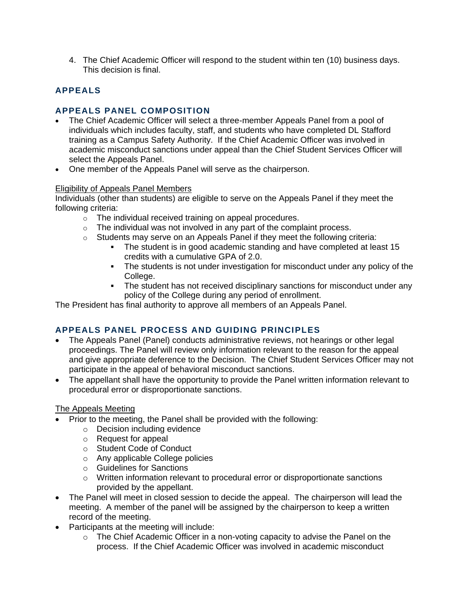4. The Chief Academic Officer will respond to the student within ten (10) business days. This decision is final.

# **APPEALS**

# **APPEALS PANEL COMPOSITION**

- The Chief Academic Officer will select a three-member Appeals Panel from a pool of individuals which includes faculty, staff, and students who have completed DL Stafford training as a Campus Safety Authority. If the Chief Academic Officer was involved in academic misconduct sanctions under appeal than the Chief Student Services Officer will select the Appeals Panel.
- One member of the Appeals Panel will serve as the chairperson.

#### Eligibility of Appeals Panel Members

Individuals (other than students) are eligible to serve on the Appeals Panel if they meet the following criteria:

- o The individual received training on appeal procedures.
- o The individual was not involved in any part of the complaint process.
- o Students may serve on an Appeals Panel if they meet the following criteria:
	- The student is in good academic standing and have completed at least 15 credits with a cumulative GPA of 2.0.
	- **•** The students is not under investigation for misconduct under any policy of the College.
	- **•** The student has not received disciplinary sanctions for misconduct under any policy of the College during any period of enrollment.

The President has final authority to approve all members of an Appeals Panel.

# **APPEALS PANEL PROCESS AND GUIDING PRINCIPLES**

- The Appeals Panel (Panel) conducts administrative reviews, not hearings or other legal proceedings. The Panel will review only information relevant to the reason for the appeal and give appropriate deference to the Decision. The Chief Student Services Officer may not participate in the appeal of behavioral misconduct sanctions.
- The appellant shall have the opportunity to provide the Panel written information relevant to procedural error or disproportionate sanctions.

### The Appeals Meeting

- Prior to the meeting, the Panel shall be provided with the following:
	- o Decision including evidence
	- o Request for appeal
	- o Student Code of Conduct
	- o Any applicable College policies
	- o Guidelines for Sanctions
	- o Written information relevant to procedural error or disproportionate sanctions provided by the appellant.
- The Panel will meet in closed session to decide the appeal. The chairperson will lead the meeting. A member of the panel will be assigned by the chairperson to keep a written record of the meeting.
- Participants at the meeting will include:
	- $\circ$  The Chief Academic Officer in a non-voting capacity to advise the Panel on the process. If the Chief Academic Officer was involved in academic misconduct